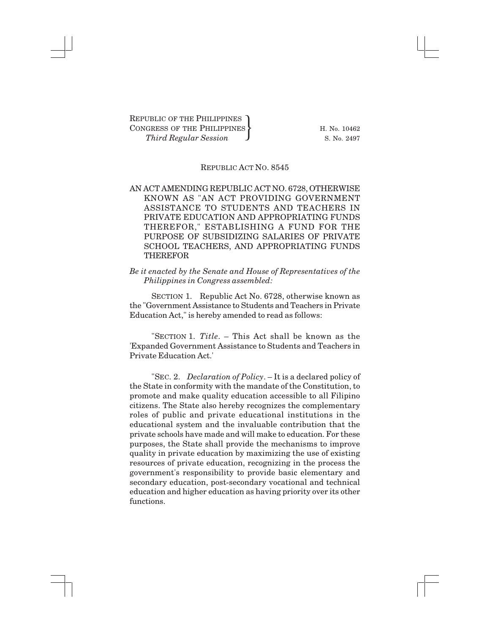## REPUBLIC ACT NO. 8545

## AN ACT AMENDING REPUBLIC ACT NO. 6728, OTHERWISE KNOWN AS "AN ACT PROVIDING GOVERNMENT ASSISTANCE TO STUDENTS AND TEACHERS IN PRIVATE EDUCATION AND APPROPRIATING FUNDS THEREFOR," ESTABLISHING A FUND FOR THE PURPOSE OF SUBSIDIZING SALARIES OF PRIVATE SCHOOL TEACHERS, AND APPROPRIATING FUNDS THEREFOR

## *Be it enacted by the Senate and House of Representatives of the Philippines in Congress assembled:*

SECTION 1. Republic Act No. 6728, otherwise known as the "Government Assistance to Students and Teachers in Private Education Act," is hereby amended to read as follows:

"SECTION 1. *Title*. – This Act shall be known as the 'Expanded Government Assistance to Students and Teachers in Private Education Act.'

"SEC. 2. *Declaration of Policy*. – It is a declared policy of the State in conformity with the mandate of the Constitution, to promote and make quality education accessible to all Filipino citizens. The State also hereby recognizes the complementary roles of public and private educational institutions in the educational system and the invaluable contribution that the private schools have made and will make to education. For these purposes, the State shall provide the mechanisms to improve quality in private education by maximizing the use of existing resources of private education, recognizing in the process the government's responsibility to provide basic elementary and secondary education, post-secondary vocational and technical education and higher education as having priority over its other functions.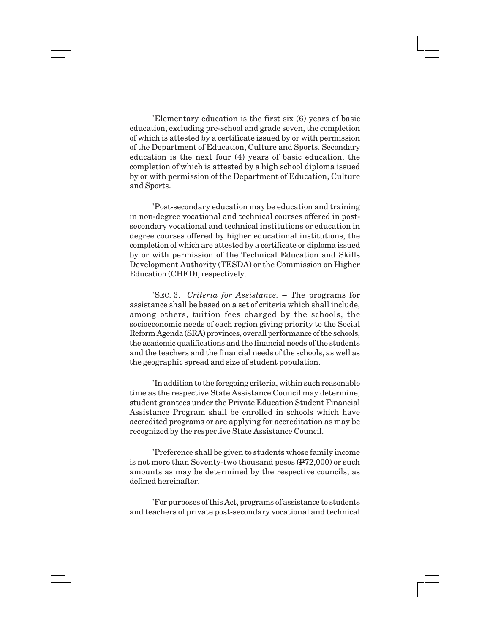"Elementary education is the first six (6) years of basic education, excluding pre-school and grade seven, the completion of which is attested by a certificate issued by or with permission of the Department of Education, Culture and Sports. Secondary education is the next four (4) years of basic education, the completion of which is attested by a high school diploma issued by or with permission of the Department of Education, Culture and Sports.

"Post-secondary education may be education and training in non-degree vocational and technical courses offered in postsecondary vocational and technical institutions or education in degree courses offered by higher educational institutions, the completion of which are attested by a certificate or diploma issued by or with permission of the Technical Education and Skills Development Authority (TESDA) or the Commission on Higher Education (CHED), respectively.

"SEC. 3. *Criteria for Assistance.* – The programs for assistance shall be based on a set of criteria which shall include, among others, tuition fees charged by the schools, the socioeconomic needs of each region giving priority to the Social Reform Agenda (SRA) provinces, overall performance of the schools, the academic qualifications and the financial needs of the students and the teachers and the financial needs of the schools, as well as the geographic spread and size of student population.

"In addition to the foregoing criteria, within such reasonable time as the respective State Assistance Council may determine, student grantees under the Private Education Student Financial Assistance Program shall be enrolled in schools which have accredited programs or are applying for accreditation as may be recognized by the respective State Assistance Council.

"Preference shall be given to students whose family income is not more than Seventy-two thousand pesos (P72,000) or such amounts as may be determined by the respective councils, as defined hereinafter.

"For purposes of this Act, programs of assistance to students and teachers of private post-secondary vocational and technical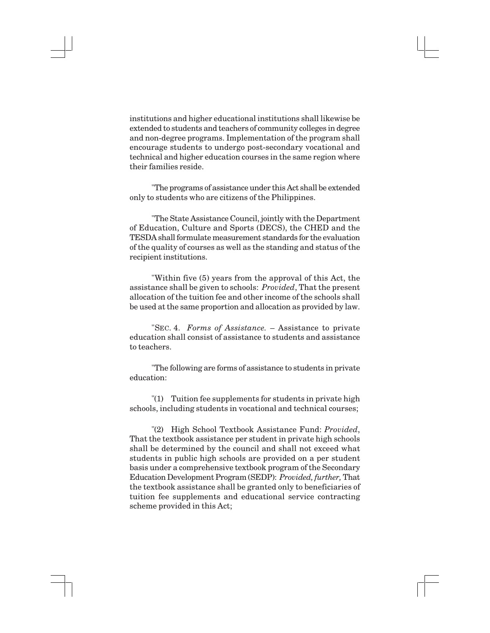institutions and higher educational institutions shall likewise be extended to students and teachers of community colleges in degree and non-degree programs. Implementation of the program shall encourage students to undergo post-secondary vocational and technical and higher education courses in the same region where their families reside.

"The programs of assistance under this Act shall be extended only to students who are citizens of the Philippines.

"The State Assistance Council, jointly with the Department of Education, Culture and Sports (DECS), the CHED and the TESDA shall formulate measurement standards for the evaluation of the quality of courses as well as the standing and status of the recipient institutions.

"Within five (5) years from the approval of this Act, the assistance shall be given to schools: *Provided*, That the present allocation of the tuition fee and other income of the schools shall be used at the same proportion and allocation as provided by law.

"SEC. 4. *Forms of Assistance.* – Assistance to private education shall consist of assistance to students and assistance to teachers.

"The following are forms of assistance to students in private education:

"(1) Tuition fee supplements for students in private high schools, including students in vocational and technical courses;

"(2) High School Textbook Assistance Fund: *Provided*, That the textbook assistance per student in private high schools shall be determined by the council and shall not exceed what students in public high schools are provided on a per student basis under a comprehensive textbook program of the Secondary Education Development Program (SEDP): *Provided, further,* That the textbook assistance shall be granted only to beneficiaries of tuition fee supplements and educational service contracting scheme provided in this Act;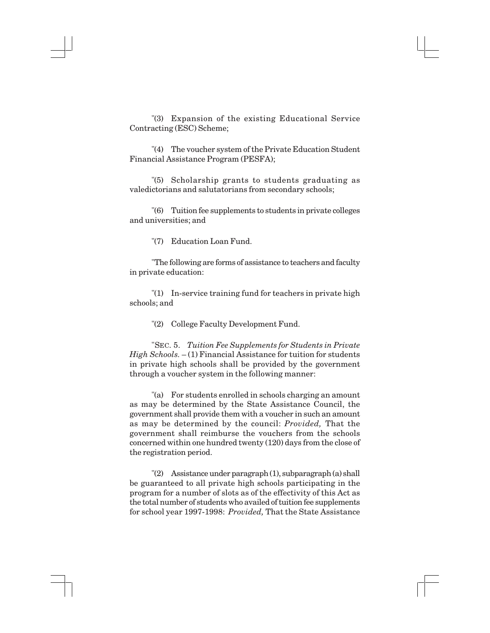"(3) Expansion of the existing Educational Service Contracting (ESC) Scheme;

"(4) The voucher system of the Private Education Student Financial Assistance Program (PESFA);

"(5) Scholarship grants to students graduating as valedictorians and salutatorians from secondary schools;

"(6) Tuition fee supplements to students in private colleges and universities; and

"(7) Education Loan Fund.

"The following are forms of assistance to teachers and faculty in private education:

"(1) In-service training fund for teachers in private high schools; and

"(2) College Faculty Development Fund.

"SEC. 5. *Tuition Fee Supplements for Students in Private High Schools.*  $- (1)$  Financial Assistance for tuition for students in private high schools shall be provided by the government through a voucher system in the following manner:

"(a) For students enrolled in schools charging an amount as may be determined by the State Assistance Council, the government shall provide them with a voucher in such an amount as may be determined by the council: *Provided,* That the government shall reimburse the vouchers from the schools concerned within one hundred twenty (120) days from the close of the registration period.

"(2) Assistance under paragraph (1), subparagraph (a) shall be guaranteed to all private high schools participating in the program for a number of slots as of the effectivity of this Act as the total number of students who availed of tuition fee supplements for school year 1997-1998: *Provided,* That the State Assistance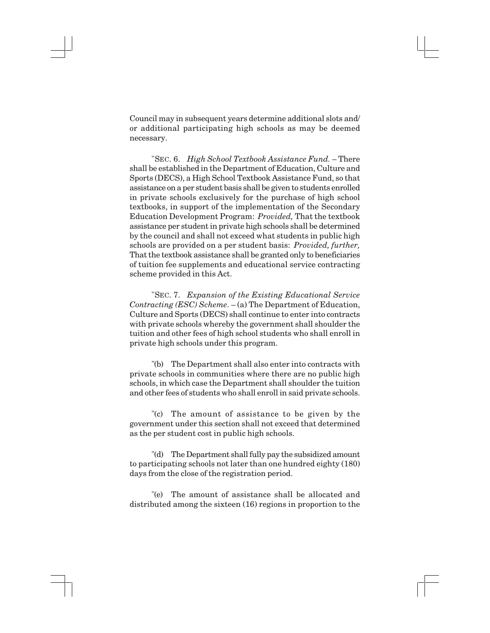Council may in subsequent years determine additional slots and/ or additional participating high schools as may be deemed necessary.

"SEC. 6. *High School Textbook Assistance Fund.* – There shall be established in the Department of Education, Culture and Sports (DECS), a High School Textbook Assistance Fund, so that assistance on a per student basis shall be given to students enrolled in private schools exclusively for the purchase of high school textbooks, in support of the implementation of the Secondary Education Development Program: *Provided,* That the textbook assistance per student in private high schools shall be determined by the council and shall not exceed what students in public high schools are provided on a per student basis: *Provided, further,* That the textbook assistance shall be granted only to beneficiaries of tuition fee supplements and educational service contracting scheme provided in this Act.

"SEC. 7. *Expansion of the Existing Educational Service Contracting (ESC) Scheme*. – (a) The Department of Education, Culture and Sports (DECS) shall continue to enter into contracts with private schools whereby the government shall shoulder the tuition and other fees of high school students who shall enroll in private high schools under this program.

"(b) The Department shall also enter into contracts with private schools in communities where there are no public high schools, in which case the Department shall shoulder the tuition and other fees of students who shall enroll in said private schools.

"(c) The amount of assistance to be given by the government under this section shall not exceed that determined as the per student cost in public high schools.

"(d) The Department shall fully pay the subsidized amount to participating schools not later than one hundred eighty (180) days from the close of the registration period.

"(e) The amount of assistance shall be allocated and distributed among the sixteen (16) regions in proportion to the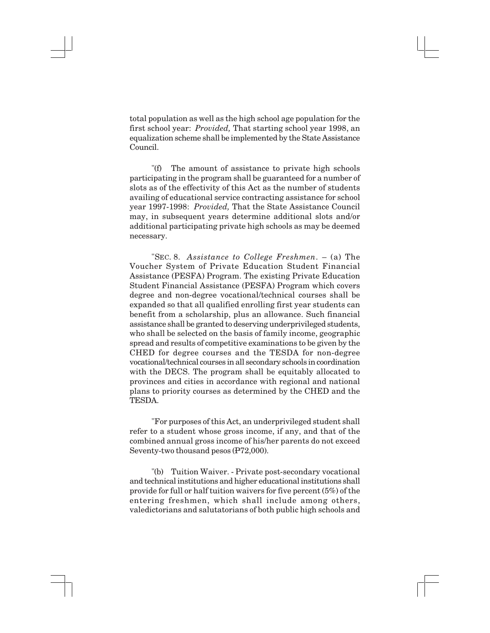total population as well as the high school age population for the first school year: *Provided,* That starting school year 1998, an equalization scheme shall be implemented by the State Assistance Council.

"(f) The amount of assistance to private high schools participating in the program shall be guaranteed for a number of slots as of the effectivity of this Act as the number of students availing of educational service contracting assistance for school year 1997-1998: *Provided,* That the State Assistance Council may, in subsequent years determine additional slots and/or additional participating private high schools as may be deemed necessary.

"SEC. 8. *Assistance to College Freshmen*. – (a) The Voucher System of Private Education Student Financial Assistance (PESFA) Program. The existing Private Education Student Financial Assistance (PESFA) Program which covers degree and non-degree vocational/technical courses shall be expanded so that all qualified enrolling first year students can benefit from a scholarship, plus an allowance. Such financial assistance shall be granted to deserving underprivileged students, who shall be selected on the basis of family income, geographic spread and results of competitive examinations to be given by the CHED for degree courses and the TESDA for non-degree vocational/technical courses in all secondary schools in coordination with the DECS. The program shall be equitably allocated to provinces and cities in accordance with regional and national plans to priority courses as determined by the CHED and the TESDA.

"For purposes of this Act, an underprivileged student shall refer to a student whose gross income, if any, and that of the combined annual gross income of his/her parents do not exceed Seventy-two thousand pesos (P72,000).

"(b) Tuition Waiver. - Private post-secondary vocational and technical institutions and higher educational institutions shall provide for full or half tuition waivers for five percent (5%) of the entering freshmen, which shall include among others, valedictorians and salutatorians of both public high schools and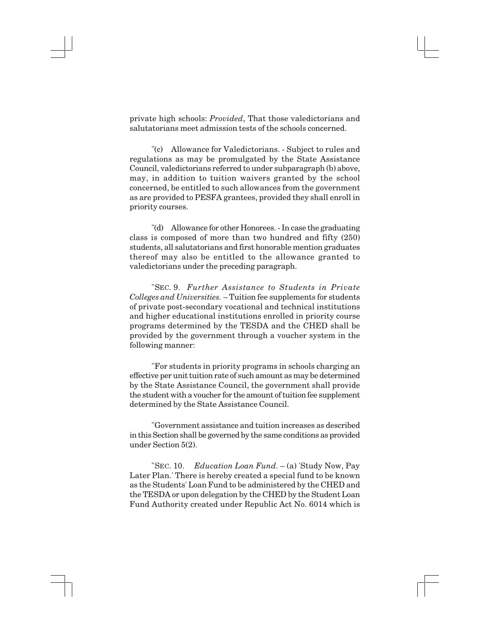private high schools: *Provided*, That those valedictorians and salutatorians meet admission tests of the schools concerned.

"(c) Allowance for Valedictorians. - Subject to rules and regulations as may be promulgated by the State Assistance Council, valedictorians referred to under subparagraph (b) above, may, in addition to tuition waivers granted by the school concerned, be entitled to such allowances from the government as are provided to PESFA grantees, provided they shall enroll in priority courses.

"(d) Allowance for other Honorees. - In case the graduating class is composed of more than two hundred and fifty (250) students, all salutatorians and first honorable mention graduates thereof may also be entitled to the allowance granted to valedictorians under the preceding paragraph.

"SEC. 9. *Further Assistance to Students in Private Colleges and Universities.* – Tuition fee supplements for students of private post-secondary vocational and technical institutions and higher educational institutions enrolled in priority course programs determined by the TESDA and the CHED shall be provided by the government through a voucher system in the following manner:

"For students in priority programs in schools charging an effective per unit tuition rate of such amount as may be determined by the State Assistance Council, the government shall provide the student with a voucher for the amount of tuition fee supplement determined by the State Assistance Council.

"Government assistance and tuition increases as described in this Section shall be governed by the same conditions as provided under Section 5(2).

"SEC. 10. *Education Loan Fund*. – (a) 'Study Now, Pay Later Plan.' There is hereby created a special fund to be known as the Students' Loan Fund to be administered by the CHED and the TESDA or upon delegation by the CHED by the Student Loan Fund Authority created under Republic Act No. 6014 which is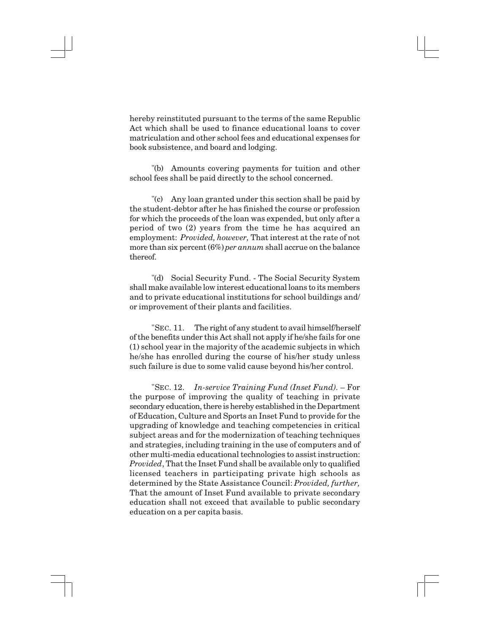hereby reinstituted pursuant to the terms of the same Republic Act which shall be used to finance educational loans to cover matriculation and other school fees and educational expenses for book subsistence, and board and lodging.

"(b) Amounts covering payments for tuition and other school fees shall be paid directly to the school concerned.

"(c) Any loan granted under this section shall be paid by the student-debtor after he has finished the course or profession for which the proceeds of the loan was expended, but only after a period of two (2) years from the time he has acquired an employment: *Provided, however,* That interest at the rate of not more than six percent (6%) *per annum* shall accrue on the balance thereof.

"(d) Social Security Fund. - The Social Security System shall make available low interest educational loans to its members and to private educational institutions for school buildings and/ or improvement of their plants and facilities.

"SEC. 11. The right of any student to avail himself/herself of the benefits under this Act shall not apply if he/she fails for one (1) school year in the majority of the academic subjects in which he/she has enrolled during the course of his/her study unless such failure is due to some valid cause beyond his/her control.

"SEC. 12. *In-service Training Fund (Inset Fund).* – For the purpose of improving the quality of teaching in private secondary education, there is hereby established in the Department of Education, Culture and Sports an Inset Fund to provide for the upgrading of knowledge and teaching competencies in critical subject areas and for the modernization of teaching techniques and strategies, including training in the use of computers and of other multi-media educational technologies to assist instruction: *Provided*, That the Inset Fund shall be available only to qualified licensed teachers in participating private high schools as determined by the State Assistance Council: *Provided, further,* That the amount of Inset Fund available to private secondary education shall not exceed that available to public secondary education on a per capita basis.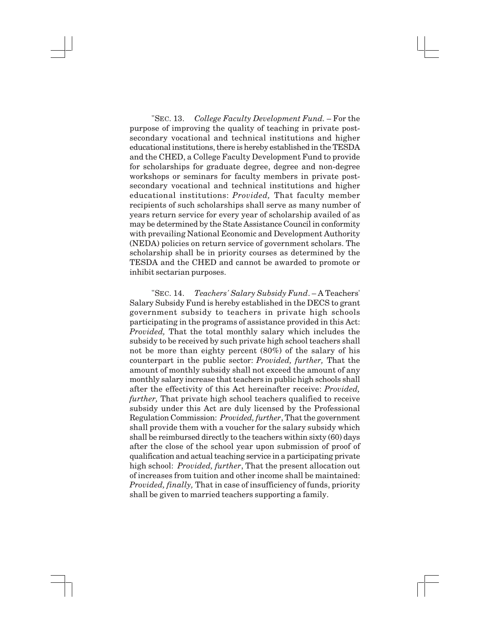"SEC. 13. *College Faculty Development Fund.* – For the purpose of improving the quality of teaching in private postsecondary vocational and technical institutions and higher educational institutions, there is hereby established in the TESDA and the CHED, a College Faculty Development Fund to provide for scholarships for graduate degree, degree and non-degree workshops or seminars for faculty members in private postsecondary vocational and technical institutions and higher educational institutions: *Provided,* That faculty member recipients of such scholarships shall serve as many number of years return service for every year of scholarship availed of as may be determined by the State Assistance Council in conformity with prevailing National Economic and Development Authority (NEDA) policies on return service of government scholars. The scholarship shall be in priority courses as determined by the TESDA and the CHED and cannot be awarded to promote or inhibit sectarian purposes.

"SEC. 14. *Teachers' Salary Subsidy Fund*. – A Teachers' Salary Subsidy Fund is hereby established in the DECS to grant government subsidy to teachers in private high schools participating in the programs of assistance provided in this Act: *Provided,* That the total monthly salary which includes the subsidy to be received by such private high school teachers shall not be more than eighty percent (80%) of the salary of his counterpart in the public sector: *Provided, further,* That the amount of monthly subsidy shall not exceed the amount of any monthly salary increase that teachers in public high schools shall after the effectivity of this Act hereinafter receive: *Provided, further,* That private high school teachers qualified to receive subsidy under this Act are duly licensed by the Professional Regulation Commission: *Provided, further*, That the government shall provide them with a voucher for the salary subsidy which shall be reimbursed directly to the teachers within sixty (60) days after the close of the school year upon submission of proof of qualification and actual teaching service in a participating private high school: *Provided, further*, That the present allocation out of increases from tuition and other income shall be maintained: *Provided, finally,* That in case of insufficiency of funds, priority shall be given to married teachers supporting a family.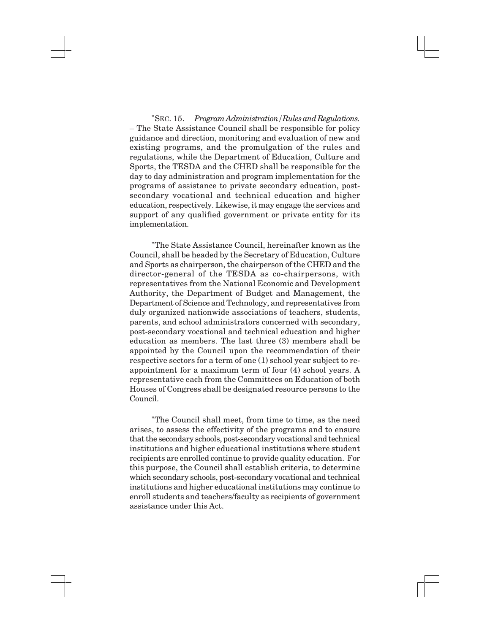"SEC. 15. *Program Administration/Rules and Regulations.* – The State Assistance Council shall be responsible for policy guidance and direction, monitoring and evaluation of new and existing programs, and the promulgation of the rules and regulations, while the Department of Education, Culture and Sports, the TESDA and the CHED shall be responsible for the day to day administration and program implementation for the programs of assistance to private secondary education, postsecondary vocational and technical education and higher education, respectively. Likewise, it may engage the services and support of any qualified government or private entity for its implementation.

"The State Assistance Council, hereinafter known as the Council, shall be headed by the Secretary of Education, Culture and Sports as chairperson, the chairperson of the CHED and the director-general of the TESDA as co-chairpersons, with representatives from the National Economic and Development Authority, the Department of Budget and Management, the Department of Science and Technology, and representatives from duly organized nationwide associations of teachers, students, parents, and school administrators concerned with secondary, post-secondary vocational and technical education and higher education as members. The last three (3) members shall be appointed by the Council upon the recommendation of their respective sectors for a term of one (1) school year subject to reappointment for a maximum term of four (4) school years. A representative each from the Committees on Education of both Houses of Congress shall be designated resource persons to the Council.

"The Council shall meet, from time to time, as the need arises, to assess the effectivity of the programs and to ensure that the secondary schools, post-secondary vocational and technical institutions and higher educational institutions where student recipients are enrolled continue to provide quality education. For this purpose, the Council shall establish criteria, to determine which secondary schools, post-secondary vocational and technical institutions and higher educational institutions may continue to enroll students and teachers/faculty as recipients of government assistance under this Act.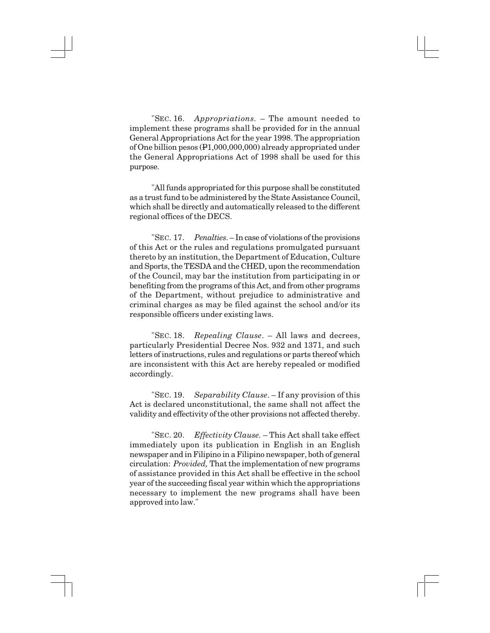"SEC. 16. *Appropriations.* – The amount needed to implement these programs shall be provided for in the annual General Appropriations Act for the year 1998. The appropriation of One billion pesos (P1,000,000,000) already appropriated under the General Appropriations Act of 1998 shall be used for this purpose.

"All funds appropriated for this purpose shall be constituted as a trust fund to be administered by the State Assistance Council, which shall be directly and automatically released to the different regional offices of the DECS.

"SEC. 17. *Penalties*. – In case of violations of the provisions of this Act or the rules and regulations promulgated pursuant thereto by an institution, the Department of Education, Culture and Sports, the TESDA and the CHED, upon the recommendation of the Council, may bar the institution from participating in or benefiting from the programs of this Act, and from other programs of the Department, without prejudice to administrative and criminal charges as may be filed against the school and/or its responsible officers under existing laws.

"SEC. 18. *Repealing Clause*. – All laws and decrees, particularly Presidential Decree Nos. 932 and 1371, and such letters of instructions, rules and regulations or parts thereof which are inconsistent with this Act are hereby repealed or modified accordingly.

"SEC. 19. *Separability Clause*. – If any provision of this Act is declared unconstitutional, the same shall not affect the validity and effectivity of the other provisions not affected thereby.

"SEC. 20. *Effectivity Clause.* – This Act shall take effect immediately upon its publication in English in an English newspaper and in Filipino in a Filipino newspaper, both of general circulation: *Provided,* That the implementation of new programs of assistance provided in this Act shall be effective in the school year of the succeeding fiscal year within which the appropriations necessary to implement the new programs shall have been approved into law."